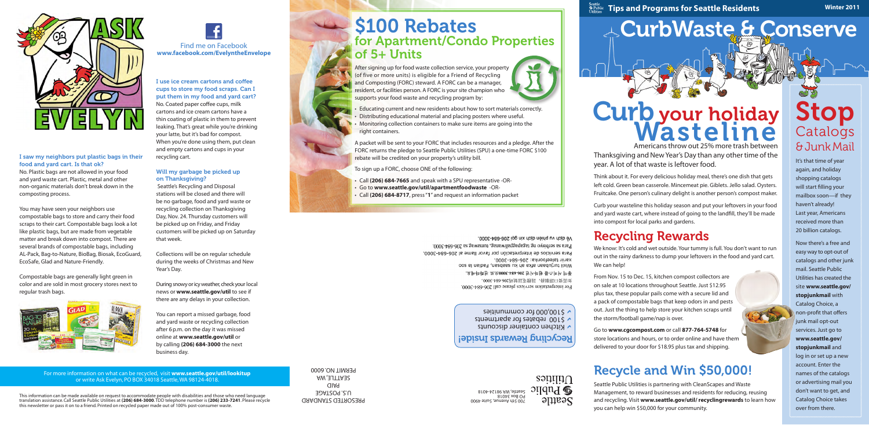# CurbWaste & Conserve



Utilities  $\Omega$ ilduq $\Phi$ **Seattle** 

**Seattle Equality Concrete Tips and Programs for Seattle Residents** 

# Americans throw out 25% more trash between Curb your holiday Wasteline

PRESORTED STANDARD U.S. POSTAGE PAID SEATTLE, WA PERMIT NO. 6000

Thanksgiving and New Year's Day than any other time of the year. A lot of that waste is leftover food.

Think about it. For every delicious holiday meal, there's one dish that gets left cold. Green bean casserole. Mincemeat pie. Giblets. Jello salad. Oysters. Fruitcake. One person's culinary delight is another person's compost maker.

Curb your wasteline this holiday season and put your leftovers in your food and yard waste cart, where instead of going to the landfill, they'll be made into compost for local parks and gardens.

# Recycling Rewards

We know: It's cold and wet outside. Your tummy is full. You don't want to run out in the rainy darkness to dump your leftovers in the food and yard cart. We can help!

# S100 Rebates for Apartment/Condo Properties of 5+ Units

From Nov. 15 to Dec. 15, kitchen compost collectors are on sale at 10 locations throughout Seattle. Just \$12.95 plus tax, these popular pails come with a secure lid and a pack of compostable bags that keep odors in and pests out. Just the thing to help store your kitchen scraps until the storm/football game/nap is over.

Go to **www.cgcompost.com** or call **877-764-5748** for store locations and hours, or to order online and have them delivered to your door for \$18.95 plus tax and shipping.

# Recycle and Win \$50,000!

Seattle Public Utilities is partnering with CleanScapes and Waste Management, to reward businesses and residents for reducing, reusing and recycling. Visit **www.seattle.gov/util/ recyclingrewards** to learn how you can help win \$50,000 for your community.

After signing up for food waste collection service, your property (of five or more units) is eligible for a Friend of Recycling and Composting (FORC) steward. A FORC can be a manager, resident, or facilities person. A FORC is your site champion who supports your food waste and recycling program by:

- Educating current and new residents about how to sort materials correctly.
- Distributing educational material and placing posters where useful.
- Monitoring collection containers to make sure items are going into the right containers.

A packet will be sent to your FORC that includes resources and a pledge. After the FORC returns the pledge to Seattle Public Utilities (SPU) a one-time FORC \$100 rebate will be credited on your property's utility bill.

To sign up a FORC, choose ONE of the following:

- • Call **(206) 684-7665** and speak with a SPU representative -OR-
- • Go to **www.seattle.gov/util/apartmentfoodwaste** -OR-
- • Call **(206) 684-8717**, press "**1**" and request an information packet

Về dịch vụ phiên dịch xin gọi 206-684-3000. Para sa serbisyo ng tagapagpaliwanag, tumawag sa 206-684-3000. Para servicios de interpretación por favor llame al 206-684-3000. xariir taleefoonka: 206-684-3000. Wixii turjubaan afka ah ku saabsan, Fadlan la soo 통역 서비스를 원하시면 206-684-3000으로 전화하세요. ·000£-+89-9075到據話軍發情, 發銀第口要需映 For interpretation services please call 206-684-3000.





This information can be made available on request to accommodate people with disabilities and those who need language translation assistance. Call Seattle Public Utilities at **(206) 684-3000**. TDD telephone number is **(206) 233-7241**. Please recycle this newsletter or pass it on to a friend. Printed on recycled paper made out of 100% post-consumer waste.

Witchen container discounts  $\sqrt{510}$  rebates for apartments \$100,000 for communities D



#### For more information on what can be recycled, visit **www.seattle.gov/util/lookitup** or write Ask Evelyn, PO BOX 34018 Seattle, WA 98124-4018.

# Stop **Catalogs** & Junk Mail

It's that time of year again, and holiday shopping catalogs will start filling your mailbox soon—if they haven't already! Last year, Americans received more than 20 billion catalogs.

Now there's a free and easy way to opt-out of catalogs and other junk mail. Seattle Public Utilities has created the site **www.seattle.gov/ stopjunkmail** with Catalog Choice, a non-profit that offers junk mail opt-out services. Just go to **www.seattle.gov/ stopjunkmail** and log in or set up a new account. Enter the names of the catalogs

or advertising mail you don't want to get, and Catalog Choice takes over from there.



#### I saw my neighbors put plastic bags in their food and yard cart. Is that ok?

No. Plastic bags are not allowed in your food and yard waste cart. Plastic, metal and other non-organic materials don't break down in the composting process.

You may have seen your neighbors use compostable bags to store and carry their food scraps to their cart. Compostable bags look a lot like plastic bags, but are made from vegetable matter and break down into compost. There are several brands of compostable bags, including AL-Pack, Bag-to-Nature, BioBag, Biosak, EcoGuard, EcoSafe, Glad and Nature-Friendly.

Compostable bags are generally light green in color and are sold in most grocery stores next to regular trash bags.



I use ice cream cartons and coffee cups to store my food scraps. Can I put them in my food and yard cart? No. Coated paper coffee cups, milk cartons and ice cream cartons have a thin coating of plastic in them to prevent leaking. That's great while you're drinking your latte, but it's bad for compost. When you're done using them, put clean and empty cartons and cups in your recycling cart.

#### Will my garbage be picked up on Thanksgiving?

 Seattle's Recycling and Disposal stations will be closed and there will be no garbage, food and yard waste or recycling collection on Thanksgiving Day, Nov. 24. Thursday customers will be picked up on Friday, and Friday customers will be picked up on Saturday that week.

Collections will be on regular schedule during the weeks of Christmas and New Year's Day.

During snowy or icy weather, check your local news or **www.seattle.gov/util** to see if there are any delays in your collection.

You can report a missed garbage, food and yard waste or recycling collection after 6 p.m. on the day it was missed online at **www.seattle.gov/util** or by calling **(206) 684-3000** the next business day.

**Winter 2011**

### Recycling Rewards Inside!